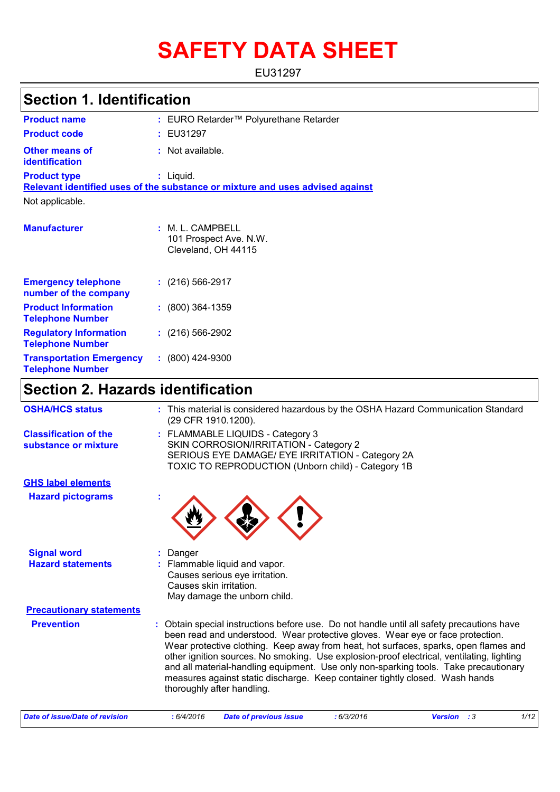# **SAFETY DATA SHEET**

EU31297

## **Section 1. Identification**

| <b>Product name</b>                                      | : EURO Retarder™ Polyurethane Retarder                                                       |  |  |  |  |
|----------------------------------------------------------|----------------------------------------------------------------------------------------------|--|--|--|--|
| <b>Product code</b>                                      | : EU31297                                                                                    |  |  |  |  |
| <b>Other means of</b><br>identification                  | : Not available.                                                                             |  |  |  |  |
| <b>Product type</b>                                      | $:$ Liquid.<br>Relevant identified uses of the substance or mixture and uses advised against |  |  |  |  |
| Not applicable.                                          |                                                                                              |  |  |  |  |
| <b>Manufacturer</b>                                      | : M. L. CAMPBELL<br>101 Prospect Ave. N.W.<br>Cleveland, OH 44115                            |  |  |  |  |
| <b>Emergency telephone</b><br>number of the company      | $: (216) 566 - 2917$                                                                         |  |  |  |  |
| <b>Product Information</b><br><b>Telephone Number</b>    | $: (800)$ 364-1359                                                                           |  |  |  |  |
| <b>Regulatory Information</b><br><b>Telephone Number</b> | $(216)$ 566-2902                                                                             |  |  |  |  |

## **Section 2. Hazards identification**

**:** (800) 424-9300

**Transportation Emergency Telephone Number**

| : This material is considered hazardous by the OSHA Hazard Communication Standard<br>(29 CFR 1910.1200).<br>: FLAMMABLE LIQUIDS - Category 3<br>SKIN CORROSION/IRRITATION - Category 2<br>SERIOUS EYE DAMAGE/ EYE IRRITATION - Category 2A                                                                                                                                                                                                                                                                                                                                 |
|----------------------------------------------------------------------------------------------------------------------------------------------------------------------------------------------------------------------------------------------------------------------------------------------------------------------------------------------------------------------------------------------------------------------------------------------------------------------------------------------------------------------------------------------------------------------------|
|                                                                                                                                                                                                                                                                                                                                                                                                                                                                                                                                                                            |
| TOXIC TO REPRODUCTION (Unborn child) - Category 1B                                                                                                                                                                                                                                                                                                                                                                                                                                                                                                                         |
|                                                                                                                                                                                                                                                                                                                                                                                                                                                                                                                                                                            |
|                                                                                                                                                                                                                                                                                                                                                                                                                                                                                                                                                                            |
| Danger                                                                                                                                                                                                                                                                                                                                                                                                                                                                                                                                                                     |
| Flammable liquid and vapor.<br>Causes serious eye irritation.<br>Causes skin irritation.<br>May damage the unborn child.                                                                                                                                                                                                                                                                                                                                                                                                                                                   |
| <b>Precautionary statements</b>                                                                                                                                                                                                                                                                                                                                                                                                                                                                                                                                            |
| Obtain special instructions before use. Do not handle until all safety precautions have<br>÷.<br>been read and understood. Wear protective gloves. Wear eye or face protection.<br>Wear protective clothing. Keep away from heat, hot surfaces, sparks, open flames and<br>other ignition sources. No smoking. Use explosion-proof electrical, ventilating, lighting<br>and all material-handling equipment. Use only non-sparking tools. Take precautionary<br>measures against static discharge. Keep container tightly closed. Wash hands<br>thoroughly after handling. |
|                                                                                                                                                                                                                                                                                                                                                                                                                                                                                                                                                                            |

| Date of issue/Date of revision | 6/4/2016 | Date of previous issue | : 6/3/2016 | <b>Version</b> : 3 | 1/12 |
|--------------------------------|----------|------------------------|------------|--------------------|------|
|--------------------------------|----------|------------------------|------------|--------------------|------|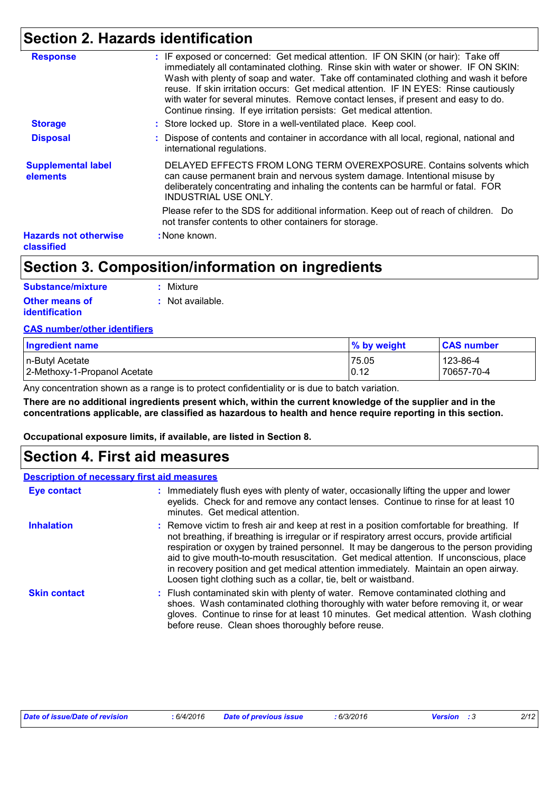## **Section 2. Hazards identification**

| <b>Response</b>                            | : IF exposed or concerned: Get medical attention. IF ON SKIN (or hair): Take off<br>immediately all contaminated clothing. Rinse skin with water or shower. IF ON SKIN:<br>Wash with plenty of soap and water. Take off contaminated clothing and wash it before<br>reuse. If skin irritation occurs: Get medical attention. IF IN EYES: Rinse cautiously<br>with water for several minutes. Remove contact lenses, if present and easy to do.<br>Continue rinsing. If eye irritation persists: Get medical attention. |
|--------------------------------------------|------------------------------------------------------------------------------------------------------------------------------------------------------------------------------------------------------------------------------------------------------------------------------------------------------------------------------------------------------------------------------------------------------------------------------------------------------------------------------------------------------------------------|
| <b>Storage</b>                             | : Store locked up. Store in a well-ventilated place. Keep cool.                                                                                                                                                                                                                                                                                                                                                                                                                                                        |
| <b>Disposal</b>                            | : Dispose of contents and container in accordance with all local, regional, national and<br>international regulations.                                                                                                                                                                                                                                                                                                                                                                                                 |
| <b>Supplemental label</b><br>elements      | DELAYED EFFECTS FROM LONG TERM OVEREXPOSURE. Contains solvents which<br>can cause permanent brain and nervous system damage. Intentional misuse by<br>deliberately concentrating and inhaling the contents can be harmful or fatal. FOR<br><b>INDUSTRIAL USE ONLY.</b>                                                                                                                                                                                                                                                 |
|                                            | Please refer to the SDS for additional information. Keep out of reach of children. Do<br>not transfer contents to other containers for storage.                                                                                                                                                                                                                                                                                                                                                                        |
| <b>Hazards not otherwise</b><br>classified | : None known.                                                                                                                                                                                                                                                                                                                                                                                                                                                                                                          |

## **Section 3. Composition/information on ingredients**

| Substance/mixture     | : Mixture        |
|-----------------------|------------------|
| <b>Other means of</b> | : Not available. |
| <b>identification</b> |                  |

#### **CAS number/other identifiers**

| <b>Ingredient name</b>       | % by weight | <b>CAS number</b> |
|------------------------------|-------------|-------------------|
| n-Butyl Acetate              | 75.05       | 123-86-4          |
| 2-Methoxy-1-Propanol Acetate | 0.12        | 70657-70-4        |

Any concentration shown as a range is to protect confidentiality or is due to batch variation.

**There are no additional ingredients present which, within the current knowledge of the supplier and in the concentrations applicable, are classified as hazardous to health and hence require reporting in this section.**

**Occupational exposure limits, if available, are listed in Section 8.**

### **Section 4. First aid measures**

|                     | <b>Description of necessary first aid measures</b>                                                                                                                                                                                                                                                                                                                                                                                                                                                                                        |
|---------------------|-------------------------------------------------------------------------------------------------------------------------------------------------------------------------------------------------------------------------------------------------------------------------------------------------------------------------------------------------------------------------------------------------------------------------------------------------------------------------------------------------------------------------------------------|
| Eye contact         | : Immediately flush eyes with plenty of water, occasionally lifting the upper and lower<br>eyelids. Check for and remove any contact lenses. Continue to rinse for at least 10<br>minutes. Get medical attention.                                                                                                                                                                                                                                                                                                                         |
| <b>Inhalation</b>   | : Remove victim to fresh air and keep at rest in a position comfortable for breathing. If<br>not breathing, if breathing is irregular or if respiratory arrest occurs, provide artificial<br>respiration or oxygen by trained personnel. It may be dangerous to the person providing<br>aid to give mouth-to-mouth resuscitation. Get medical attention. If unconscious, place<br>in recovery position and get medical attention immediately. Maintain an open airway.<br>Loosen tight clothing such as a collar, tie, belt or waistband. |
| <b>Skin contact</b> | : Flush contaminated skin with plenty of water. Remove contaminated clothing and<br>shoes. Wash contaminated clothing thoroughly with water before removing it, or wear<br>gloves. Continue to rinse for at least 10 minutes. Get medical attention. Wash clothing<br>before reuse. Clean shoes thoroughly before reuse.                                                                                                                                                                                                                  |

| Date of issue/Date of revision | 6/4/2016 | <b>Date of previous issue</b> | : 6/3/2016 | <b>Version</b> : 3 | 2/12 |
|--------------------------------|----------|-------------------------------|------------|--------------------|------|
|                                |          |                               |            |                    |      |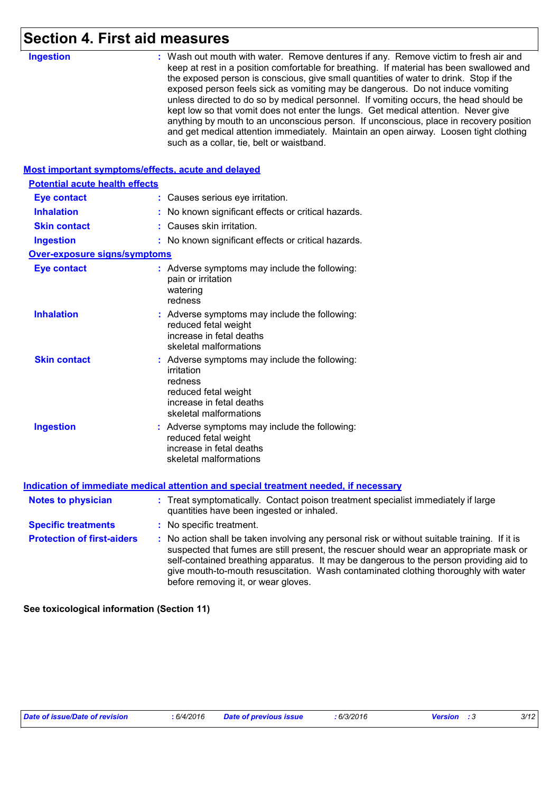## **Section 4. First aid measures**

| <b>Ingestion</b>                                   | : Wash out mouth with water. Remove dentures if any. Remove victim to fresh air and<br>keep at rest in a position comfortable for breathing. If material has been swallowed and<br>the exposed person is conscious, give small quantities of water to drink. Stop if the<br>exposed person feels sick as vomiting may be dangerous. Do not induce vomiting<br>unless directed to do so by medical personnel. If vomiting occurs, the head should be<br>kept low so that vomit does not enter the lungs. Get medical attention. Never give<br>anything by mouth to an unconscious person. If unconscious, place in recovery position<br>and get medical attention immediately. Maintain an open airway. Loosen tight clothing<br>such as a collar, tie, belt or waistband. |
|----------------------------------------------------|---------------------------------------------------------------------------------------------------------------------------------------------------------------------------------------------------------------------------------------------------------------------------------------------------------------------------------------------------------------------------------------------------------------------------------------------------------------------------------------------------------------------------------------------------------------------------------------------------------------------------------------------------------------------------------------------------------------------------------------------------------------------------|
| Most important symptoms/effects, acute and delayed |                                                                                                                                                                                                                                                                                                                                                                                                                                                                                                                                                                                                                                                                                                                                                                           |
| <b>Potential acute health effects</b>              |                                                                                                                                                                                                                                                                                                                                                                                                                                                                                                                                                                                                                                                                                                                                                                           |
| <b>Eye contact</b>                                 | : Causes serious eye irritation.                                                                                                                                                                                                                                                                                                                                                                                                                                                                                                                                                                                                                                                                                                                                          |
| <b>Inhalation</b>                                  | : No known significant effects or critical hazards.                                                                                                                                                                                                                                                                                                                                                                                                                                                                                                                                                                                                                                                                                                                       |
| <b>Skin contact</b>                                | : Causes skin irritation.                                                                                                                                                                                                                                                                                                                                                                                                                                                                                                                                                                                                                                                                                                                                                 |
| <b>Ingestion</b>                                   | : No known significant effects or critical hazards.                                                                                                                                                                                                                                                                                                                                                                                                                                                                                                                                                                                                                                                                                                                       |
| <b>Over-exposure signs/symptoms</b>                |                                                                                                                                                                                                                                                                                                                                                                                                                                                                                                                                                                                                                                                                                                                                                                           |
| <b>Eye contact</b>                                 | : Adverse symptoms may include the following:<br>pain or irritation<br>watering<br>redness                                                                                                                                                                                                                                                                                                                                                                                                                                                                                                                                                                                                                                                                                |
| <b>Inhalation</b>                                  | : Adverse symptoms may include the following:<br>reduced fetal weight<br>increase in fetal deaths<br>skeletal malformations                                                                                                                                                                                                                                                                                                                                                                                                                                                                                                                                                                                                                                               |
| <b>Skin contact</b>                                | : Adverse symptoms may include the following:<br>irritation<br>redness<br>reduced fetal weight<br>increase in fetal deaths<br>skeletal malformations                                                                                                                                                                                                                                                                                                                                                                                                                                                                                                                                                                                                                      |
| <b>Ingestion</b>                                   | : Adverse symptoms may include the following:<br>reduced fetal weight<br>increase in fetal deaths<br>skeletal malformations                                                                                                                                                                                                                                                                                                                                                                                                                                                                                                                                                                                                                                               |
|                                                    | <b>Indication of immediate medical attention and special treatment needed, if necessary</b>                                                                                                                                                                                                                                                                                                                                                                                                                                                                                                                                                                                                                                                                               |
| <b>Notes to physician</b>                          | : Treat symptomatically. Contact poison treatment specialist immediately if large<br>quantities have been ingested or inhaled.                                                                                                                                                                                                                                                                                                                                                                                                                                                                                                                                                                                                                                            |
| <b>Specific treatments</b>                         | : No specific treatment.                                                                                                                                                                                                                                                                                                                                                                                                                                                                                                                                                                                                                                                                                                                                                  |
| <b>Protection of first-aiders</b>                  | : No action shall be taken involving any personal risk or without suitable training. If it is<br>suspected that fumes are still present, the rescuer should wear an appropriate mask or<br>self-contained breathing apparatus. It may be dangerous to the person providing aid to<br>give mouth-to-mouth resuscitation. Wash contaminated clothing thoroughly with water<br>before removing it, or wear gloves.                                                                                                                                                                                                                                                                                                                                                           |

**See toxicological information (Section 11)**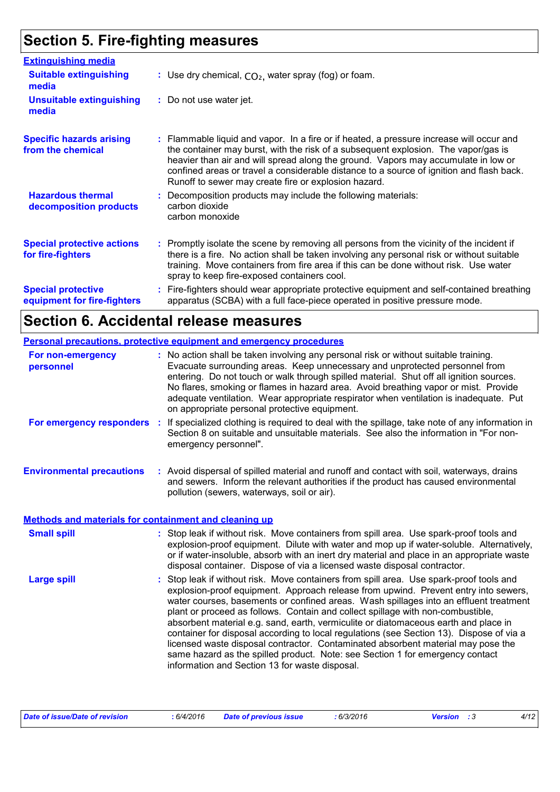## **Section 5. Fire-fighting measures**

| <b>Extinguishing media</b>                               |                                                                                                                                                                                                                                                                                                                                                                                                                          |
|----------------------------------------------------------|--------------------------------------------------------------------------------------------------------------------------------------------------------------------------------------------------------------------------------------------------------------------------------------------------------------------------------------------------------------------------------------------------------------------------|
| <b>Suitable extinguishing</b><br>media                   | : Use dry chemical, $CO2$ , water spray (fog) or foam.                                                                                                                                                                                                                                                                                                                                                                   |
| <b>Unsuitable extinguishing</b><br>media                 | : Do not use water jet.                                                                                                                                                                                                                                                                                                                                                                                                  |
| <b>Specific hazards arising</b><br>from the chemical     | : Flammable liquid and vapor. In a fire or if heated, a pressure increase will occur and<br>the container may burst, with the risk of a subsequent explosion. The vapor/gas is<br>heavier than air and will spread along the ground. Vapors may accumulate in low or<br>confined areas or travel a considerable distance to a source of ignition and flash back.<br>Runoff to sewer may create fire or explosion hazard. |
| <b>Hazardous thermal</b><br>decomposition products       | Decomposition products may include the following materials:<br>carbon dioxide<br>carbon monoxide                                                                                                                                                                                                                                                                                                                         |
| <b>Special protective actions</b><br>for fire-fighters   | : Promptly isolate the scene by removing all persons from the vicinity of the incident if<br>there is a fire. No action shall be taken involving any personal risk or without suitable<br>training. Move containers from fire area if this can be done without risk. Use water<br>spray to keep fire-exposed containers cool.                                                                                            |
| <b>Special protective</b><br>equipment for fire-fighters | Fire-fighters should wear appropriate protective equipment and self-contained breathing<br>apparatus (SCBA) with a full face-piece operated in positive pressure mode.                                                                                                                                                                                                                                                   |

## **Section 6. Accidental release measures**

|                                                       | <b>Personal precautions, protective equipment and emergency procedures</b>                                                                                                                                                                                                                                                                                                                                                                                                                                                                                                                                                                                                                                                                                         |
|-------------------------------------------------------|--------------------------------------------------------------------------------------------------------------------------------------------------------------------------------------------------------------------------------------------------------------------------------------------------------------------------------------------------------------------------------------------------------------------------------------------------------------------------------------------------------------------------------------------------------------------------------------------------------------------------------------------------------------------------------------------------------------------------------------------------------------------|
| For non-emergency<br>personnel                        | : No action shall be taken involving any personal risk or without suitable training.<br>Evacuate surrounding areas. Keep unnecessary and unprotected personnel from<br>entering. Do not touch or walk through spilled material. Shut off all ignition sources.<br>No flares, smoking or flames in hazard area. Avoid breathing vapor or mist. Provide<br>adequate ventilation. Wear appropriate respirator when ventilation is inadequate. Put<br>on appropriate personal protective equipment.                                                                                                                                                                                                                                                                    |
| For emergency responders :                            | If specialized clothing is required to deal with the spillage, take note of any information in<br>Section 8 on suitable and unsuitable materials. See also the information in "For non-<br>emergency personnel".                                                                                                                                                                                                                                                                                                                                                                                                                                                                                                                                                   |
| <b>Environmental precautions</b>                      | : Avoid dispersal of spilled material and runoff and contact with soil, waterways, drains<br>and sewers. Inform the relevant authorities if the product has caused environmental<br>pollution (sewers, waterways, soil or air).                                                                                                                                                                                                                                                                                                                                                                                                                                                                                                                                    |
| Methods and materials for containment and cleaning up |                                                                                                                                                                                                                                                                                                                                                                                                                                                                                                                                                                                                                                                                                                                                                                    |
| <b>Small spill</b>                                    | : Stop leak if without risk. Move containers from spill area. Use spark-proof tools and<br>explosion-proof equipment. Dilute with water and mop up if water-soluble. Alternatively,<br>or if water-insoluble, absorb with an inert dry material and place in an appropriate waste<br>disposal container. Dispose of via a licensed waste disposal contractor.                                                                                                                                                                                                                                                                                                                                                                                                      |
| <b>Large spill</b>                                    | Stop leak if without risk. Move containers from spill area. Use spark-proof tools and<br>explosion-proof equipment. Approach release from upwind. Prevent entry into sewers,<br>water courses, basements or confined areas. Wash spillages into an effluent treatment<br>plant or proceed as follows. Contain and collect spillage with non-combustible,<br>absorbent material e.g. sand, earth, vermiculite or diatomaceous earth and place in<br>container for disposal according to local regulations (see Section 13). Dispose of via a<br>licensed waste disposal contractor. Contaminated absorbent material may pose the<br>same hazard as the spilled product. Note: see Section 1 for emergency contact<br>information and Section 13 for waste disposal. |

| Date of issue/Date of revision | 6/4/2016 | Date of previous issue | : 6/3/2016 | <b>Version</b> : 3 |  | 4/12 |
|--------------------------------|----------|------------------------|------------|--------------------|--|------|
|--------------------------------|----------|------------------------|------------|--------------------|--|------|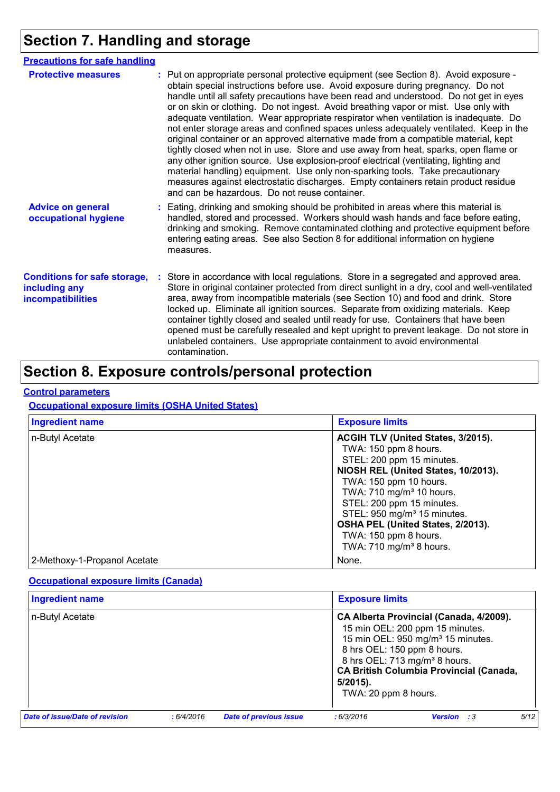## **Section 7. Handling and storage**

| <b>Precautions for safe handling</b>                                      |                                                                                                                                                                                                                                                                                                                                                                                                                                                                                                                                                                                                                                                                                                                                                                                                                                                                                                                                                                                                                                        |
|---------------------------------------------------------------------------|----------------------------------------------------------------------------------------------------------------------------------------------------------------------------------------------------------------------------------------------------------------------------------------------------------------------------------------------------------------------------------------------------------------------------------------------------------------------------------------------------------------------------------------------------------------------------------------------------------------------------------------------------------------------------------------------------------------------------------------------------------------------------------------------------------------------------------------------------------------------------------------------------------------------------------------------------------------------------------------------------------------------------------------|
| <b>Protective measures</b>                                                | : Put on appropriate personal protective equipment (see Section 8). Avoid exposure -<br>obtain special instructions before use. Avoid exposure during pregnancy. Do not<br>handle until all safety precautions have been read and understood. Do not get in eyes<br>or on skin or clothing. Do not ingest. Avoid breathing vapor or mist. Use only with<br>adequate ventilation. Wear appropriate respirator when ventilation is inadequate. Do<br>not enter storage areas and confined spaces unless adequately ventilated. Keep in the<br>original container or an approved alternative made from a compatible material, kept<br>tightly closed when not in use. Store and use away from heat, sparks, open flame or<br>any other ignition source. Use explosion-proof electrical (ventilating, lighting and<br>material handling) equipment. Use only non-sparking tools. Take precautionary<br>measures against electrostatic discharges. Empty containers retain product residue<br>and can be hazardous. Do not reuse container. |
| <b>Advice on general</b><br>occupational hygiene                          | Eating, drinking and smoking should be prohibited in areas where this material is<br>handled, stored and processed. Workers should wash hands and face before eating,<br>drinking and smoking. Remove contaminated clothing and protective equipment before<br>entering eating areas. See also Section 8 for additional information on hygiene<br>measures.                                                                                                                                                                                                                                                                                                                                                                                                                                                                                                                                                                                                                                                                            |
| <b>Conditions for safe storage,</b><br>including any<br>incompatibilities | Store in accordance with local regulations. Store in a segregated and approved area.<br>Store in original container protected from direct sunlight in a dry, cool and well-ventilated<br>area, away from incompatible materials (see Section 10) and food and drink. Store<br>locked up. Eliminate all ignition sources. Separate from oxidizing materials. Keep<br>container tightly closed and sealed until ready for use. Containers that have been<br>opened must be carefully resealed and kept upright to prevent leakage. Do not store in<br>unlabeled containers. Use appropriate containment to avoid environmental<br>contamination.                                                                                                                                                                                                                                                                                                                                                                                         |

## **Section 8. Exposure controls/personal protection**

#### **Control parameters**

**Occupational exposure limits (OSHA United States)**

| <b>Ingredient name</b>       | <b>Exposure limits</b>                                                                                                                                                                                                                                                                                                                                                         |
|------------------------------|--------------------------------------------------------------------------------------------------------------------------------------------------------------------------------------------------------------------------------------------------------------------------------------------------------------------------------------------------------------------------------|
| n-Butyl Acetate              | ACGIH TLV (United States, 3/2015).<br>TWA: 150 ppm 8 hours.<br>STEL: 200 ppm 15 minutes.<br>NIOSH REL (United States, 10/2013).<br>TWA: 150 ppm 10 hours.<br>TWA: 710 mg/m <sup>3</sup> 10 hours.<br>STEL: 200 ppm 15 minutes.<br>STEL: 950 mg/m <sup>3</sup> 15 minutes.<br>OSHA PEL (United States, 2/2013).<br>TWA: 150 ppm 8 hours.<br>TWA: 710 mg/m <sup>3</sup> 8 hours. |
| 2-Methoxy-1-Propanol Acetate | None.                                                                                                                                                                                                                                                                                                                                                                          |

#### **Occupational exposure limits (Canada)**

| <b>Ingredient name</b>                       |  | <b>Exposure limits</b>        |                                                                                                                                  |                                                                                                                                                              |  |      |
|----------------------------------------------|--|-------------------------------|----------------------------------------------------------------------------------------------------------------------------------|--------------------------------------------------------------------------------------------------------------------------------------------------------------|--|------|
| n-Butyl Acetate                              |  |                               | CA Alberta Provincial (Canada, 4/2009).<br><b>CA British Columbia Provincial (Canada,</b><br>$5/2015$ ).<br>TWA: 20 ppm 8 hours. | 15 min OEL: 200 ppm 15 minutes.<br>15 min OEL: 950 mg/m <sup>3</sup> 15 minutes.<br>8 hrs OEL: 150 ppm 8 hours.<br>8 hrs OEL: 713 mg/m <sup>3</sup> 8 hours. |  |      |
| Date of issue/Date of revision<br>: 6/4/2016 |  | <b>Date of previous issue</b> | : 6/3/2016                                                                                                                       | <b>Version</b> : 3                                                                                                                                           |  | 5/12 |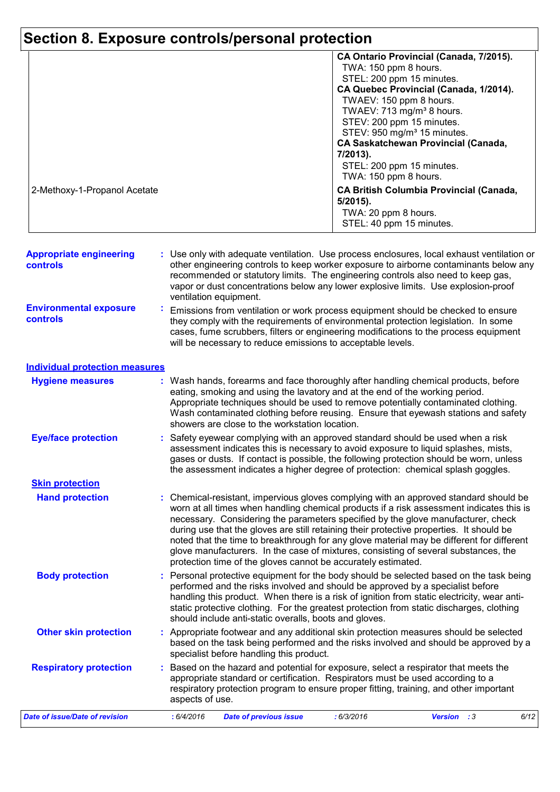# **Section 8. Exposure controls/personal protection**

|                              | CA Ontario Provincial (Canada, 7/2015).        |
|------------------------------|------------------------------------------------|
|                              | TWA: 150 ppm 8 hours.                          |
|                              | STEL: 200 ppm 15 minutes.                      |
|                              | CA Quebec Provincial (Canada, 1/2014).         |
|                              | TWAEV: 150 ppm 8 hours.                        |
|                              | TWAEV: 713 mg/m <sup>3</sup> 8 hours.          |
|                              | STEV: 200 ppm 15 minutes.                      |
|                              | STEV: 950 mg/m <sup>3</sup> 15 minutes.        |
|                              | <b>CA Saskatchewan Provincial (Canada,</b>     |
|                              | 7/2013).                                       |
|                              | STEL: 200 ppm 15 minutes.                      |
|                              | TWA: 150 ppm 8 hours.                          |
| 2-Methoxy-1-Propanol Acetate | <b>CA British Columbia Provincial (Canada,</b> |
|                              | $5/2015$ ).                                    |
|                              | TWA: 20 ppm 8 hours.                           |
|                              | STEL: 40 ppm 15 minutes.                       |

| <b>Appropriate engineering</b><br>controls | : Use only with adequate ventilation. Use process enclosures, local exhaust ventilation or<br>other engineering controls to keep worker exposure to airborne contaminants below any<br>recommended or statutory limits. The engineering controls also need to keep gas,<br>vapor or dust concentrations below any lower explosive limits. Use explosion-proof<br>ventilation equipment. |
|--------------------------------------------|-----------------------------------------------------------------------------------------------------------------------------------------------------------------------------------------------------------------------------------------------------------------------------------------------------------------------------------------------------------------------------------------|
| <b>Environmental exposure</b><br>controls  | Emissions from ventilation or work process equipment should be checked to ensure<br>they comply with the requirements of environmental protection legislation. In some<br>cases, fume scrubbers, filters or engineering modifications to the process equipment<br>will be necessary to reduce emissions to acceptable levels.                                                           |

#### **Individual protection measures**

| <b>Hygiene measures</b>        |                 | eating, smoking and using the lavatory and at the end of the working period. |            | Wash hands, forearms and face thoroughly after handling chemical products, before                                                                                                                                                                                                                                                                                                                                                                                                                                                                   |      |
|--------------------------------|-----------------|------------------------------------------------------------------------------|------------|-----------------------------------------------------------------------------------------------------------------------------------------------------------------------------------------------------------------------------------------------------------------------------------------------------------------------------------------------------------------------------------------------------------------------------------------------------------------------------------------------------------------------------------------------------|------|
|                                |                 | showers are close to the workstation location.                               |            | Appropriate techniques should be used to remove potentially contaminated clothing.<br>Wash contaminated clothing before reusing. Ensure that eyewash stations and safety                                                                                                                                                                                                                                                                                                                                                                            |      |
| <b>Eye/face protection</b>     |                 |                                                                              |            | Safety eyewear complying with an approved standard should be used when a risk<br>assessment indicates this is necessary to avoid exposure to liquid splashes, mists,<br>gases or dusts. If contact is possible, the following protection should be worn, unless<br>the assessment indicates a higher degree of protection: chemical splash goggles.                                                                                                                                                                                                 |      |
| <b>Skin protection</b>         |                 |                                                                              |            |                                                                                                                                                                                                                                                                                                                                                                                                                                                                                                                                                     |      |
| <b>Hand protection</b>         |                 | protection time of the gloves cannot be accurately estimated.                |            | Chemical-resistant, impervious gloves complying with an approved standard should be<br>worn at all times when handling chemical products if a risk assessment indicates this is<br>necessary. Considering the parameters specified by the glove manufacturer, check<br>during use that the gloves are still retaining their protective properties. It should be<br>noted that the time to breakthrough for any glove material may be different for different<br>glove manufacturers. In the case of mixtures, consisting of several substances, the |      |
| <b>Body protection</b>         |                 | should include anti-static overalls, boots and gloves.                       |            | Personal protective equipment for the body should be selected based on the task being<br>performed and the risks involved and should be approved by a specialist before<br>handling this product. When there is a risk of ignition from static electricity, wear anti-<br>static protective clothing. For the greatest protection from static discharges, clothing                                                                                                                                                                                  |      |
| <b>Other skin protection</b>   |                 | specialist before handling this product.                                     |            | Appropriate footwear and any additional skin protection measures should be selected<br>based on the task being performed and the risks involved and should be approved by a                                                                                                                                                                                                                                                                                                                                                                         |      |
| <b>Respiratory protection</b>  | aspects of use. |                                                                              |            | Based on the hazard and potential for exposure, select a respirator that meets the<br>appropriate standard or certification. Respirators must be used according to a<br>respiratory protection program to ensure proper fitting, training, and other important                                                                                                                                                                                                                                                                                      |      |
| Date of issue/Date of revision | : 6/4/2016      | <b>Date of previous issue</b>                                                | : 6/3/2016 | <b>Version</b> : 3                                                                                                                                                                                                                                                                                                                                                                                                                                                                                                                                  | 6/12 |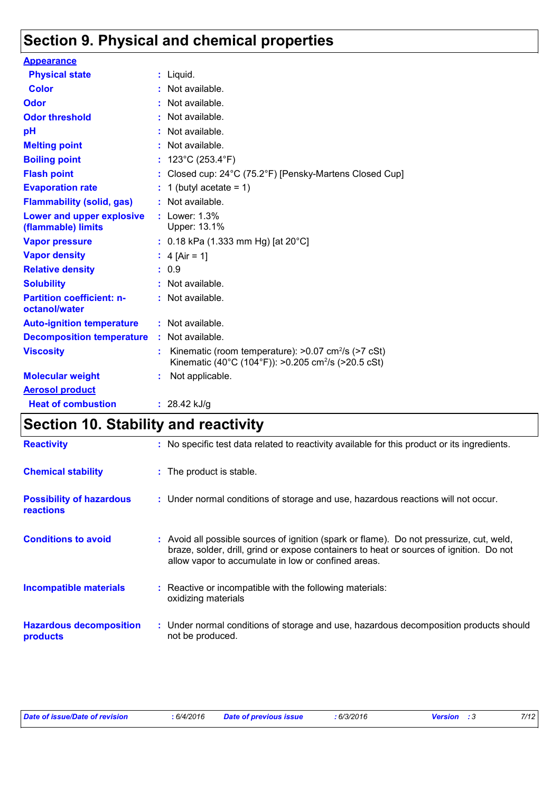## **Section 9. Physical and chemical properties**

| <b>Appearance</b>                                 |                                                                                                                                         |
|---------------------------------------------------|-----------------------------------------------------------------------------------------------------------------------------------------|
| <b>Physical state</b>                             | Liquid.                                                                                                                                 |
| <b>Color</b>                                      | : Not available.                                                                                                                        |
| <b>Odor</b>                                       | Not available.                                                                                                                          |
| <b>Odor threshold</b>                             | Not available.                                                                                                                          |
| pH                                                | Not available.                                                                                                                          |
| <b>Melting point</b>                              | $:$ Not available.                                                                                                                      |
| <b>Boiling point</b>                              | 123°C (253.4°F)                                                                                                                         |
| <b>Flash point</b>                                | Closed cup: 24°C (75.2°F) [Pensky-Martens Closed Cup]                                                                                   |
| <b>Evaporation rate</b>                           | 1 (butyl acetate = $1$ )                                                                                                                |
| <b>Flammability (solid, gas)</b>                  | : Not available.                                                                                                                        |
| Lower and upper explosive<br>(flammable) limits   | $:$ Lower: 1.3%<br>Upper: 13.1%                                                                                                         |
| <b>Vapor pressure</b>                             | : 0.18 kPa (1.333 mm Hg) [at $20^{\circ}$ C]                                                                                            |
| <b>Vapor density</b>                              | : $4$ [Air = 1]                                                                                                                         |
| <b>Relative density</b>                           | : 0.9                                                                                                                                   |
| <b>Solubility</b>                                 | $:$ Not available.                                                                                                                      |
| <b>Partition coefficient: n-</b><br>octanol/water | : Not available.                                                                                                                        |
| <b>Auto-ignition temperature</b>                  | $:$ Not available.                                                                                                                      |
| <b>Decomposition temperature : Not available.</b> |                                                                                                                                         |
| <b>Viscosity</b>                                  | Kinematic (room temperature): $>0.07$ cm <sup>2</sup> /s ( $>7$ cSt)<br>Kinematic (40°C (104°F)): >0.205 cm <sup>2</sup> /s (>20.5 cSt) |
| <b>Molecular weight</b>                           | Not applicable.                                                                                                                         |
| <b>Aerosol product</b>                            |                                                                                                                                         |
| <b>Heat of combustion</b>                         | : $28.42$ kJ/g                                                                                                                          |

## **Section 10. Stability and reactivity**

| <b>Reactivity</b>                                   | : No specific test data related to reactivity available for this product or its ingredients.                                                                                                                                               |
|-----------------------------------------------------|--------------------------------------------------------------------------------------------------------------------------------------------------------------------------------------------------------------------------------------------|
| <b>Chemical stability</b>                           | : The product is stable.                                                                                                                                                                                                                   |
| <b>Possibility of hazardous</b><br><b>reactions</b> | : Under normal conditions of storage and use, hazardous reactions will not occur.                                                                                                                                                          |
| <b>Conditions to avoid</b>                          | : Avoid all possible sources of ignition (spark or flame). Do not pressurize, cut, weld,<br>braze, solder, drill, grind or expose containers to heat or sources of ignition. Do not<br>allow vapor to accumulate in low or confined areas. |
| <b>Incompatible materials</b>                       | : Reactive or incompatible with the following materials:<br>oxidizing materials                                                                                                                                                            |
| <b>Hazardous decomposition</b><br>products          | : Under normal conditions of storage and use, hazardous decomposition products should<br>not be produced.                                                                                                                                  |

| Date of issue/Date of revision | : 6/4/2016 | <b>Date of previous issue</b> | : 6/3/2016 | <b>Version</b> : 3 | 7/12 |
|--------------------------------|------------|-------------------------------|------------|--------------------|------|
|                                |            |                               |            |                    |      |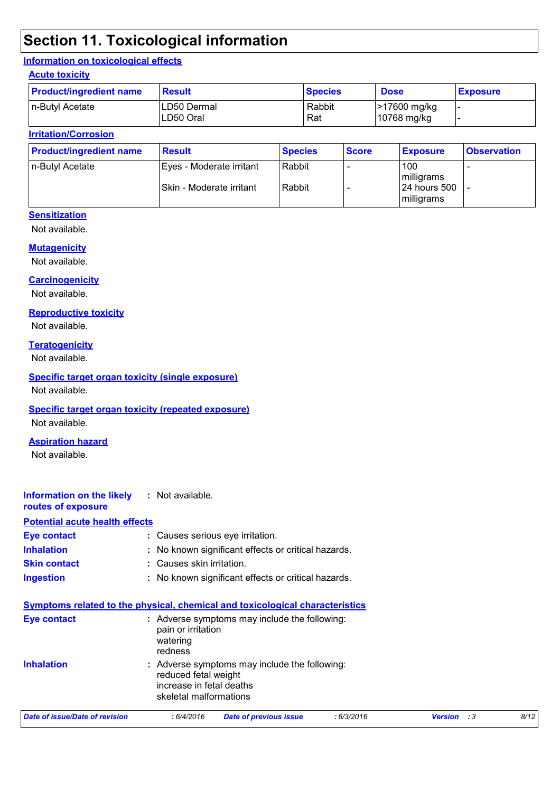## **Section 11. Toxicological information**

#### **Information on toxicological effects**

#### **Acute toxicity**

| <b>Product/ingredient name</b> | <b>Result</b>            | <b>Species</b> | <b>Dose</b>                 | <b>Exposure</b> |
|--------------------------------|--------------------------|----------------|-----------------------------|-----------------|
| n-Butyl Acetate                | LD50 Dermal<br>LD50 Oral | Rabbit<br>Rat  | >17600 mg/kg<br>10768 mg/kg |                 |

#### **Irritation/Corrosion**

| <b>Product/ingredient name</b> | <b>Result</b>            | <b>Species</b> | <b>Score</b> | <b>Exposure</b>             | <b>Observation</b> |
|--------------------------------|--------------------------|----------------|--------------|-----------------------------|--------------------|
| n-Butyl Acetate                | Eyes - Moderate irritant | Rabbit         |              | 100<br>milligrams           |                    |
|                                | Skin - Moderate irritant | Rabbit         |              | 124 hours 500<br>milligrams |                    |

#### **Sensitization**

Not available.

#### **Mutagenicity**

Not available.

#### **Carcinogenicity**

Not available.

#### **Reproductive toxicity**

Not available.

#### **Teratogenicity**

Not available.

#### **Specific target organ toxicity (single exposure)**

Not available.

#### **Specific target organ toxicity (repeated exposure)**

Not available.

#### **Aspiration hazard**

Not available.

#### **Information on the likely :** Not available. **routes of exposure**

#### **Potential acute health effects**

| <b>Eye contact</b>  | : Causes serious eye irritation.                    |
|---------------------|-----------------------------------------------------|
| <b>Inhalation</b>   | : No known significant effects or critical hazards. |
| <b>Skin contact</b> | : Causes skin irritation.                           |
| <b>Ingestion</b>    | : No known significant effects or critical hazards. |

| <b>Symptoms related to the physical, chemical and toxicological characteristics</b> |                                                                            |                                               |            |
|-------------------------------------------------------------------------------------|----------------------------------------------------------------------------|-----------------------------------------------|------------|
| <b>Eye contact</b>                                                                  | pain or irritation<br>watering<br>redness                                  | : Adverse symptoms may include the following: |            |
| <b>Inhalation</b>                                                                   | reduced fetal weight<br>increase in fetal deaths<br>skeletal malformations | : Adverse symptoms may include the following: |            |
| Data of inqualData of revision                                                      | $.$ $C/A/001C$                                                             | Data af province inoug                        | . 6/2/2016 |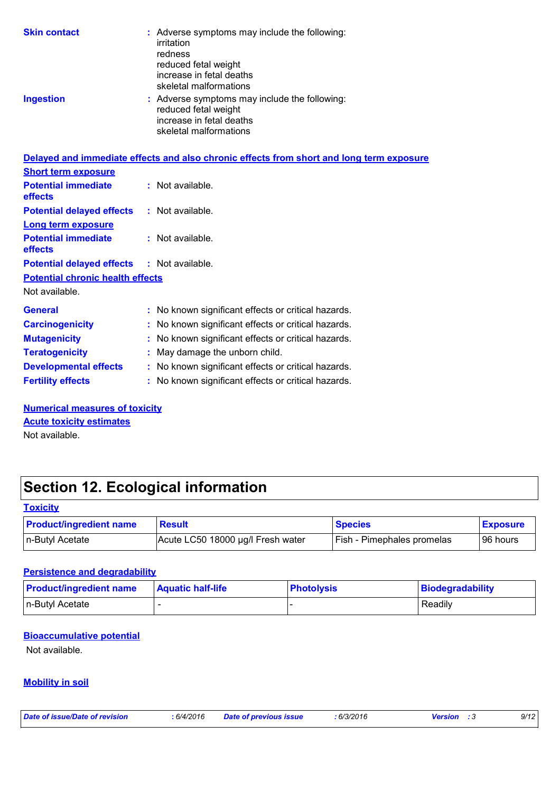| <b>Skin contact</b>                     | : Adverse symptoms may include the following:<br>irritation<br>redness<br>reduced fetal weight<br>increase in fetal deaths<br>skeletal malformations |
|-----------------------------------------|------------------------------------------------------------------------------------------------------------------------------------------------------|
| <b>Ingestion</b>                        | : Adverse symptoms may include the following:<br>reduced fetal weight<br>increase in fetal deaths<br>skeletal malformations                          |
|                                         | Delayed and immediate effects and also chronic effects from short and long term exposure                                                             |
| <b>Short term exposure</b>              |                                                                                                                                                      |
| <b>Potential immediate</b><br>effects   | : Not available.                                                                                                                                     |
| <b>Potential delayed effects</b>        | $:$ Not available.                                                                                                                                   |
| <b>Long term exposure</b>               |                                                                                                                                                      |
| <b>Potential immediate</b><br>effects   | $:$ Not available.                                                                                                                                   |
| <b>Potential delayed effects</b>        | $:$ Not available.                                                                                                                                   |
| <b>Potential chronic health effects</b> |                                                                                                                                                      |
| Not available.                          |                                                                                                                                                      |
| <b>General</b>                          | : No known significant effects or critical hazards.                                                                                                  |
| <b>Carcinogenicity</b>                  | No known significant effects or critical hazards.                                                                                                    |
| <b>Mutagenicity</b>                     | No known significant effects or critical hazards.                                                                                                    |
| <b>Teratogenicity</b>                   | May damage the unborn child.                                                                                                                         |
| <b>Developmental effects</b>            | : No known significant effects or critical hazards.                                                                                                  |
| <b>Fertility effects</b>                | : No known significant effects or critical hazards.                                                                                                  |

**Numerical measures of toxicity**

Not available. **Acute toxicity estimates**

## **Section 12. Ecological information**

| <b>Toxicity</b>                |            |
|--------------------------------|------------|
| <b>Product/ingredient name</b> | <b>Res</b> |

| <b>Product/ingredient name</b> | <b>Result</b>                     | <b>Species</b>                    | <b>Exposure</b> |
|--------------------------------|-----------------------------------|-----------------------------------|-----------------|
| ∣n-Butyl Acetate               | Acute LC50 18000 µg/l Fresh water | <b>Fish - Pimephales promelas</b> | 96 hours        |

#### **Persistence and degradability**

| <b>Product/ingredient name</b> | <b>Aquatic half-life</b> | <b>Photolysis</b> | Biodegradability |
|--------------------------------|--------------------------|-------------------|------------------|
| n-Butyl Acetate                |                          |                   | Readily          |

#### **Bioaccumulative potential**

Not available.

### **Mobility in soil**

*Date of issue/Date of revision* **:** *6/4/2016 Date of previous issue : 6/3/2016 Version : 3 9/12*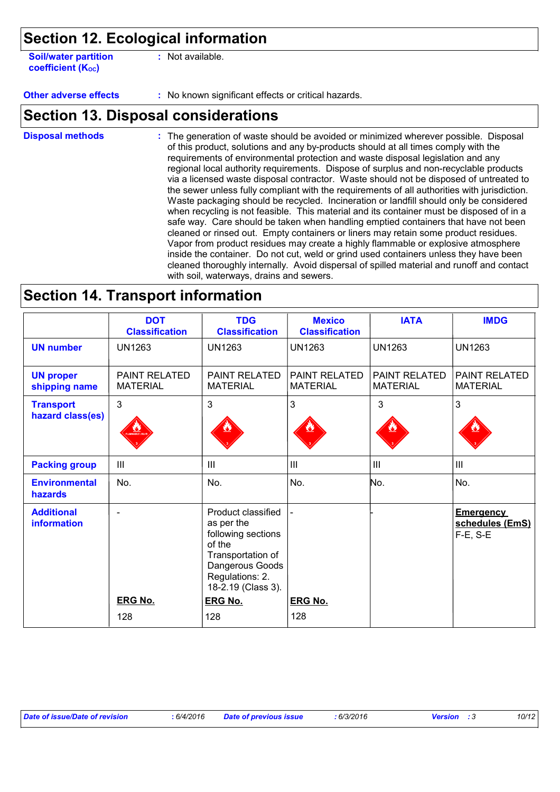### **Section 12. Ecological information**

| <b>Soil/water partition</b> |  |
|-----------------------------|--|
| <b>coefficient (Koc)</b>    |  |

**:** Not available.

**Other adverse effects** : No known significant effects or critical hazards.

### **Section 13. Disposal considerations**

The generation of waste should be avoided or minimized wherever possible. Disposal of this product, solutions and any by-products should at all times comply with the requirements of environmental protection and waste disposal legislation and any regional local authority requirements. Dispose of surplus and non-recyclable products via a licensed waste disposal contractor. Waste should not be disposed of untreated to the sewer unless fully compliant with the requirements of all authorities with jurisdiction. Waste packaging should be recycled. Incineration or landfill should only be considered when recycling is not feasible. This material and its container must be disposed of in a safe way. Care should be taken when handling emptied containers that have not been cleaned or rinsed out. Empty containers or liners may retain some product residues. Vapor from product residues may create a highly flammable or explosive atmosphere inside the container. Do not cut, weld or grind used containers unless they have been cleaned thoroughly internally. Avoid dispersal of spilled material and runoff and contact with soil, waterways, drains and sewers. **Disposal methods :**

### **Section 14. Transport information**

|                                         | <b>DOT</b><br><b>Classification</b> | <b>TDG</b><br><b>Classification</b>                                                                                                               | <b>Mexico</b><br><b>Classification</b> | <b>IATA</b>                      | <b>IMDG</b>                                          |
|-----------------------------------------|-------------------------------------|---------------------------------------------------------------------------------------------------------------------------------------------------|----------------------------------------|----------------------------------|------------------------------------------------------|
| <b>UN number</b>                        | <b>UN1263</b>                       | <b>UN1263</b>                                                                                                                                     | <b>UN1263</b>                          | <b>UN1263</b>                    | <b>UN1263</b>                                        |
| <b>UN proper</b><br>shipping name       | PAINT RELATED<br><b>MATERIAL</b>    | <b>PAINT RELATED</b><br><b>MATERIAL</b>                                                                                                           | PAINT RELATED<br><b>MATERIAL</b>       | PAINT RELATED<br><b>MATERIAL</b> | PAINT RELATED<br><b>MATERIAL</b>                     |
| <b>Transport</b><br>hazard class(es)    | 3                                   | $\mathbf{3}$                                                                                                                                      | 3                                      | 3                                | 3                                                    |
| <b>Packing group</b>                    | III                                 | Ш                                                                                                                                                 | III                                    | III                              | III                                                  |
| <b>Environmental</b><br><b>hazards</b>  | No.                                 | No.                                                                                                                                               | No.                                    | No.                              | No.                                                  |
| <b>Additional</b><br><b>information</b> | $\blacksquare$                      | Product classified<br>as per the<br>following sections<br>of the<br>Transportation of<br>Dangerous Goods<br>Regulations: 2.<br>18-2.19 (Class 3). |                                        |                                  | <b>Emergency</b><br>schedules (EmS)<br>$F-E$ , $S-E$ |
|                                         | <b>ERG No.</b>                      | <b>ERG No.</b>                                                                                                                                    | <b>ERG No.</b>                         |                                  |                                                      |
|                                         | 128                                 | 128                                                                                                                                               | 128                                    |                                  |                                                      |

| Date of issue/Date of revision | : 6/4/2016 | <b>Date of previous issue</b> | :6/3/2016 | <b>Version</b> : 3 | 10/12 |
|--------------------------------|------------|-------------------------------|-----------|--------------------|-------|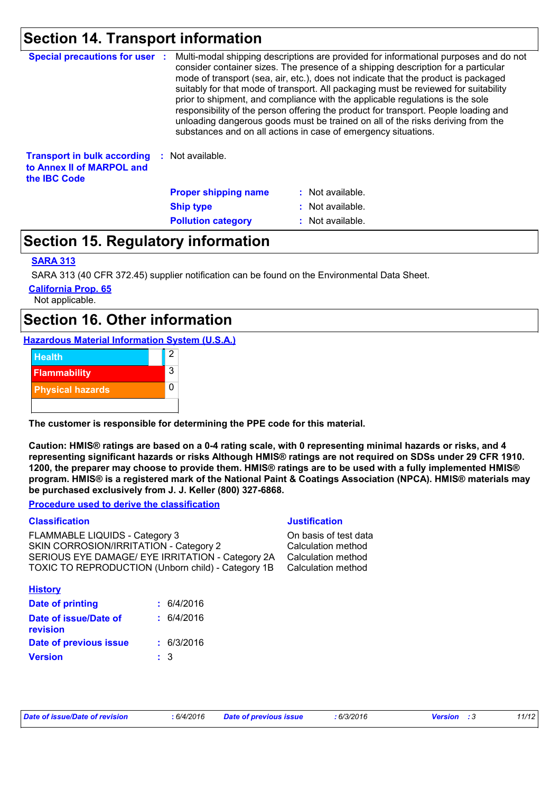## **Section 14. Transport information**

| <b>Special precautions for user :</b><br>Multi-modal shipping descriptions are provided for informational purposes and do not<br>consider container sizes. The presence of a shipping description for a particular<br>mode of transport (sea, air, etc.), does not indicate that the product is packaged<br>suitably for that mode of transport. All packaging must be reviewed for suitability<br>prior to shipment, and compliance with the applicable regulations is the sole<br>responsibility of the person offering the product for transport. People loading and<br>unloading dangerous goods must be trained on all of the risks deriving from the<br>substances and on all actions in case of emergency situations. |                             |                  |
|------------------------------------------------------------------------------------------------------------------------------------------------------------------------------------------------------------------------------------------------------------------------------------------------------------------------------------------------------------------------------------------------------------------------------------------------------------------------------------------------------------------------------------------------------------------------------------------------------------------------------------------------------------------------------------------------------------------------------|-----------------------------|------------------|
| <b>Transport in bulk according</b><br>to Annex II of MARPOL and<br>the <b>IBC</b> Code                                                                                                                                                                                                                                                                                                                                                                                                                                                                                                                                                                                                                                       | : Not available.            |                  |
|                                                                                                                                                                                                                                                                                                                                                                                                                                                                                                                                                                                                                                                                                                                              | <b>Proper shipping name</b> | : Not available. |
|                                                                                                                                                                                                                                                                                                                                                                                                                                                                                                                                                                                                                                                                                                                              | <b>Ship type</b>            | : Not available. |
|                                                                                                                                                                                                                                                                                                                                                                                                                                                                                                                                                                                                                                                                                                                              | <b>Pollution category</b>   | : Not available. |

### **Section 15. Regulatory information**

#### **SARA 313**

SARA 313 (40 CFR 372.45) supplier notification can be found on the Environmental Data Sheet.

**California Prop. 65**

Not applicable.

### **Section 16. Other information**

**Hazardous Material Information System (U.S.A.)**



**The customer is responsible for determining the PPE code for this material.**

**Caution: HMIS® ratings are based on a 0-4 rating scale, with 0 representing minimal hazards or risks, and 4 representing significant hazards or risks Although HMIS® ratings are not required on SDSs under 29 CFR 1910. 1200, the preparer may choose to provide them. HMIS® ratings are to be used with a fully implemented HMIS® program. HMIS® is a registered mark of the National Paint & Coatings Association (NPCA). HMIS® materials may be purchased exclusively from J. J. Keller (800) 327-6868.**

**Procedure used to derive the classification**

#### **Classification Justification**

FLAMMABLE LIQUIDS - Category 3 Cass Controller and the CAMMABLE LIQUIDS - Category 3 SKIN CORROSION/IRRITATION - Category 2 Calculation method SERIOUS EYE DAMAGE/ EYE IRRITATION - Category 2A Calculation method TOXIC TO REPRODUCTION (Unborn child) - Category 1B Calculation method

| <b>History</b>                           |     |            |
|------------------------------------------|-----|------------|
| <b>Date of printing</b>                  |     | : 6/4/2016 |
| Date of issue/Date of<br><b>revision</b> |     | : 6/4/2016 |
| Date of previous issue                   |     | : 6/3/2016 |
| <b>Version</b>                           | : 3 |            |

| Date of issue/Date of revision |  |
|--------------------------------|--|
|                                |  |

*Date of issue/Date of revision* **:** *6/4/2016 Date of previous issue : 6/3/2016 Version : 3 11/12*